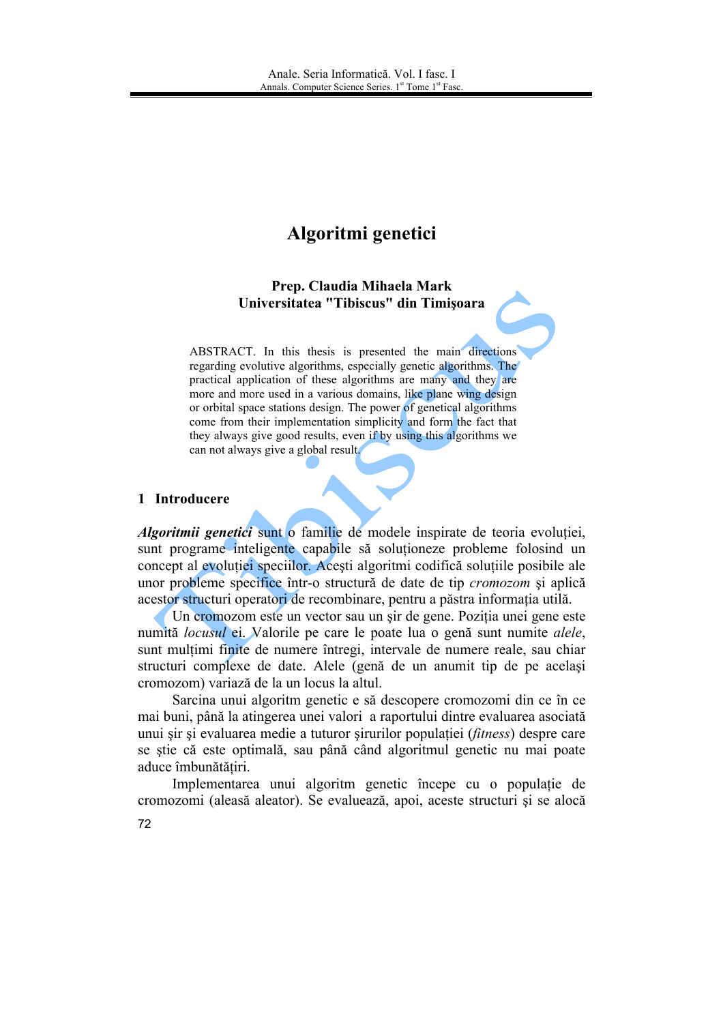# Algoritmi genetici

### Prep. Claudia Mihaela Mark Universitatea "Tibiscus" din Timisoara

ABSTRACT. In this thesis is presented the main directions regarding evolutive algorithms, especially genetic algorithms. The practical application of these algorithms are many and they are more and more used in a various domains, like plane wing design or orbital space stations design. The power of genetical algorithms come from their implementation simplicity and form the fact that they always give good results, even if by using this algorithms we can not always give a global result.

#### 1 Introducere

Algoritmii genetici sunt o familie de modele inspirate de teoria evoluției, sunt programe inteligente capabile să solutioneze probleme folosind un concept al evolutiei speciilor. Acesti algoritmi codifică solutiile posibile ale unor probleme specifice într-o structură de date de tip *cromozom* și aplică acestor structuri operatori de recombinare, pentru a păstra informatia utilă.

Un cromozom este un vector sau un sir de gene. Poziția unei gene este numită locusul ei. Valorile pe care le poate lua o genă sunt numite *alele*, sunt multimi finite de numere întregi, intervale de numere reale, sau chiar structuri complexe de date. Alele (genă de un anumit tip de pe același cromozom) variază de la un locus la altul.

Sarcina unui algoritm genetic e să descopere cromozomi din ce în ce mai buni, până la atingerea unei valori a raportului dintre evaluarea asociată unui sir si evaluarea medie a tuturor sirurilor populației *(fitness)* despre care se știe că este optimală, sau până când algoritmul genetic nu mai poate aduce îmbunătătiri.

Implementarea unui algoritm genetic începe cu o populație de cromozomi (aleasă aleator). Se evaluează, apoi, aceste structuri și se alocă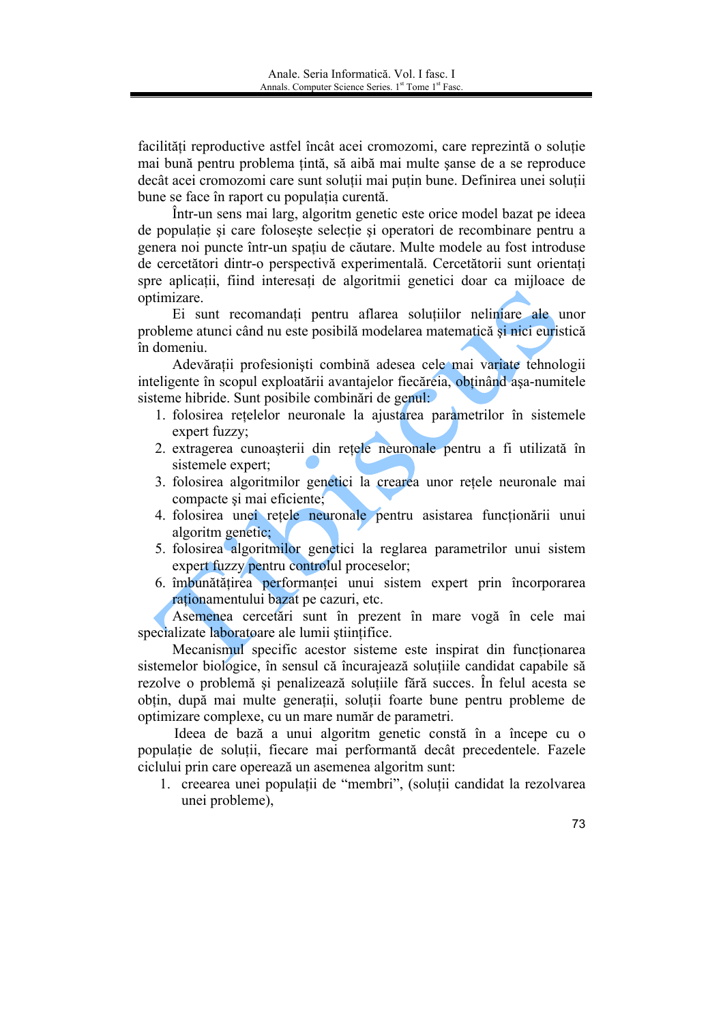facilități reproductive astfel încât acei cromozomi, care reprezintă o soluție mai bună pentru problema tintă, să aibă mai multe sanse de a se reproduce decât acei cromozomi care sunt soluții mai puțin bune. Definirea unei soluții bune se face în raport cu populația curentă.

Într-un sens mai larg, algoritm genetic este orice model bazat pe ideea de populație și care folosește selecție și operatori de recombinare pentru a genera noi puncte într-un spatiu de căutare. Multe modele au fost introduse de cercetători dintr-o perspectivă experimentală. Cercetătorii sunt orientati spre aplicatii, fiind interesati de algoritmii genetici doar ca mijloace de optimizare.

Ei sunt recomandați pentru aflarea soluțiilor neliniare ale unor probleme atunci când nu este posibilă modelarea matematică și nici euristică în domeniu.

Adevărații profesioniști combină adesea cele mai variate tehnologii inteligente în scopul exploatării avantajelor fiecăreia, obținând așa-numitele sisteme hibride. Sunt posibile combinari de genul:

- 1. folosirea retelelor neuronale la ajustarea parametrilor în sistemele expert fuzzy;
- 2. extragerea cunoașterii din retele neuronale pentru a fi utilizată în sistemele expert;
- 3. folosirea algoritmilor genetici la crearea unor retele neuronale mai compacte și mai eficiente.
- 4. folosirea unei rețele neuronale pentru asistarea funcționării unui algoritm genetic;
- 5. folosirea algoritmilor genetici la reglarea parametrilor unui sistem expert fuzzy pentru controlul proceselor;
- 6. îmbunătătirea performantei unui sistem expert prin încorporarea rationamentului bazat pe cazuri, etc.

Asemenea cercetări sunt în prezent în mare vogă în cele mai specializate laboratoare ale lumii stiintifice.

Mecanismul specific acestor sisteme este inspirat din functionarea sistemelor biologice, în sensul că încurajează soluțiile candidat capabile să rezolve o problemă și penalizează soluțiile fără succes. În felul acesta se obtin, după mai multe generații, soluții foarte bune pentru probleme de optimizare complexe, cu un mare număr de parametri.

Ideea de bază a unui algoritm genetic constă în a începe cu o populație de soluții, fiecare mai performantă decât precedentele. Fazele ciclului prin care operează un asemenea algoritm sunt:

1. creearea unei populații de "membri", (soluții candidat la rezolvarea unei probleme).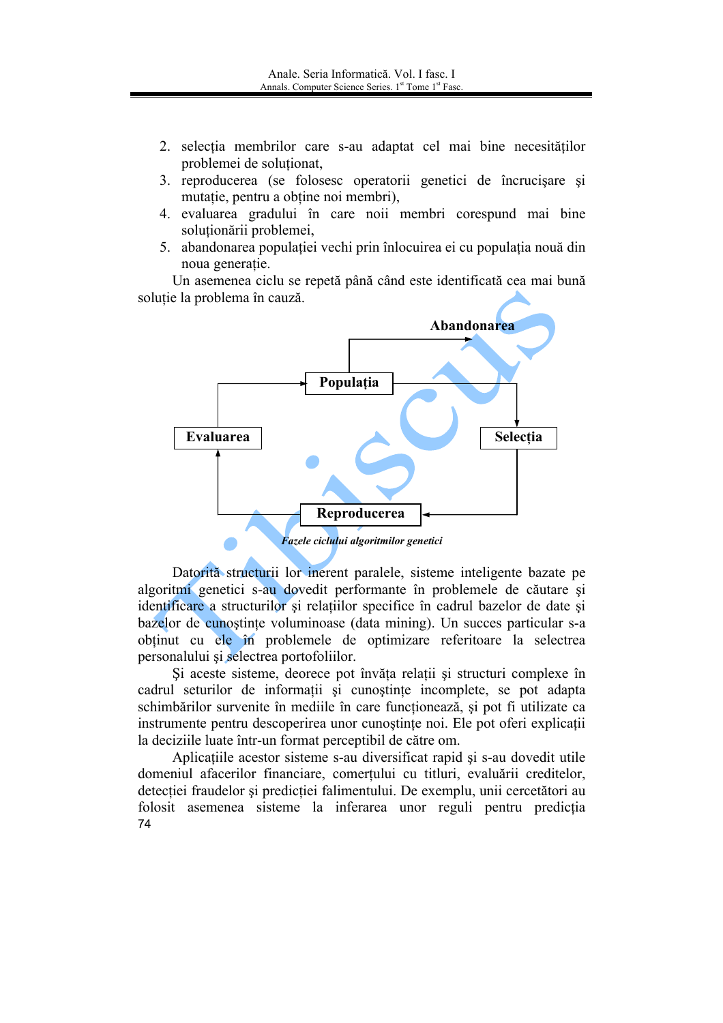- 2. selecția membrilor care s-au adaptat cel mai bine necesităților problemei de solutionat.
- 3. reproducerea (se folosesc operatorii genetici de încrucisare si mutatie, pentru a obtine noi membri).
- 4. evaluarea gradului în care noii membri corespund mai bine soluționării problemei,
- 5. abandonarea populației vechi prin înlocuirea ei cu populația nouă din noua generatie.

Un asemenea ciclu se repetă până când este identificată cea mai bună soluție la problema în cauză.



Datorită structurii lor inerent paralele, sisteme inteligente bazate pe algoritmi genetici s-au dovedit performante în problemele de căutare și identificare a structurilor si relatiilor specifice în cadrul bazelor de date si bazelor de cunostinte voluminoase (data mining). Un succes particular s-a obtinut cu ele în problemele de optimizare referitoare la selectrea personalului și selectrea portofoliilor.

Si aceste sisteme, deorece pot învăta relatii și structuri complexe în cadrul seturilor de informații și cunoștințe incomplete, se pot adapta schimbărilor survenite în mediile în care funcționează, și pot fi utilizate ca instrumente pentru descoperirea unor cunoștințe noi. Ele pot oferi explicații la deciziile luate într-un format perceptibil de către om.

Aplicatiile acestor sisteme s-au diversificat rapid si s-au dovedit utile domeniul afacerilor financiare, comertului cu titluri, evaluării creditelor, detecției fraudelor și predicției falimentului. De exemplu, unii cercetători au folosit asemenea sisteme la inferarea unor reguli pentru predictia 74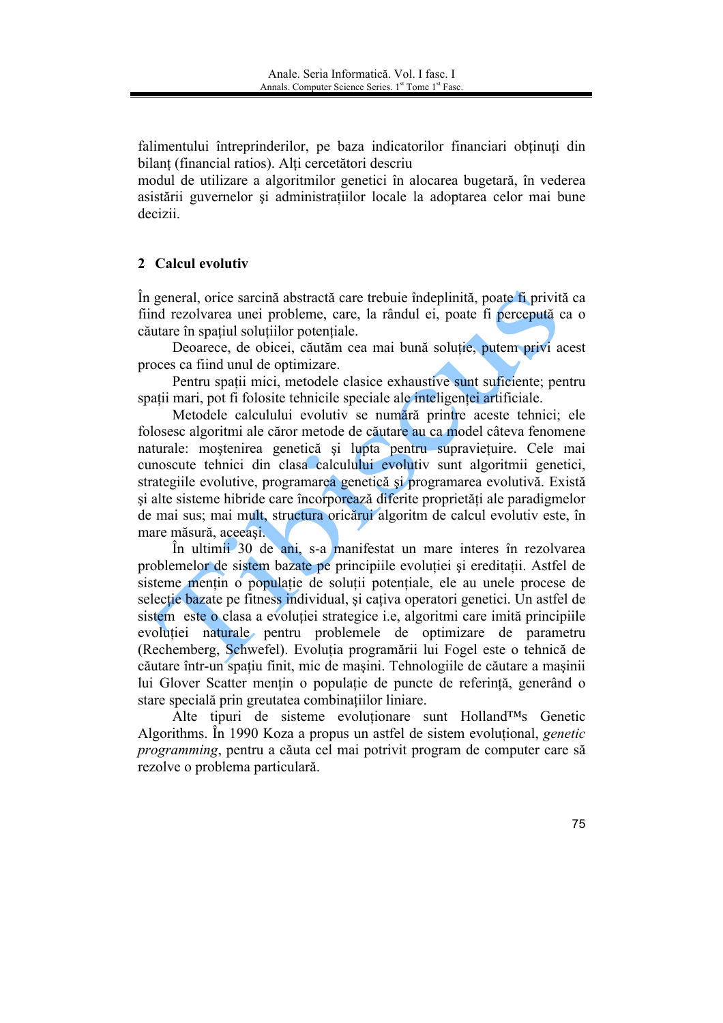falimentului întreprinderilor, pe baza indicatorilor financiari obținuți din bilant (financial ratios). Alti cercetători descriu

modul de utilizare a algoritmilor genetici în alocarea bugetară, în vederea asistării guvernelor și administrațiilor locale la adoptarea celor mai bune decizii.

# 2 Calcul evolutiv

În general, orice sarcină abstractă care trebuie îndeplinită, poate fi privită ca fiind rezolvarea unei probleme, care, la rândul ei, poate fi percepută ca o căutare în spațiul soluțiilor potențiale.

Deoarece, de obicei, căutăm cea mai bună soluție, putem privi acest proces ca fiind unul de optimizare.

Pentru spatii mici, metodele clasice exhaustive sunt suficiente; pentru spatii mari, pot fi folosite tehnicile speciale ale inteligentei artificiale.

Metodele calculului evolutiv se numără printre aceste tehnici; ele folosesc algoritmi ale căror metode de căutare au ca model câteva fenomene naturale: mostenirea genetică și lupta pentru supravietuire. Cele mai cunoscute tehnici din clasa calculului evolutiv sunt algoritmii genetici, strategiile evolutive, programarea genetică și programarea evolutivă. Există si alte sisteme hibride care încorporează diferite proprietăți ale paradigmelor de mai sus; mai mult, structura oricărui algoritm de calcul evolutiv este, în mare măsură, aceeasi,

În ultimii 30 de ani, s-a manifestat un mare interes în rezolvarea problemelor de sistem bazate pe principiile evolutiei și ereditatii. Astfel de sisteme mentin o populatie de solutii potentiale, ele au unele procese de selectie bazate pe fitness individual, și cațiva operatori genetici. Un astfel de sistem este o clasa a evoluției strategice *i.e.* algoritmi care imită principiile evolutiei naturale pentru problemele de optimizare de parametru (Rechemberg, Schwefel). Evoluția programării lui Fogel este o tehnică de căutare într-un spațiu finit, mic de mașini. Tehnologiile de căutare a mașinii lui Glover Scatter mențin o populație de puncte de referință, generând o stare specială prin greutatea combinatiilor liniare.

Alte tipuri de sisteme evolutionare sunt Holland<sup>TM</sup>s Genetic Algorithms. In 1990 Koza a propus un astfel de sistem evolutional, *genetic* programming, pentru a căuta cel mai potrivit program de computer care să rezolve o problema particulară.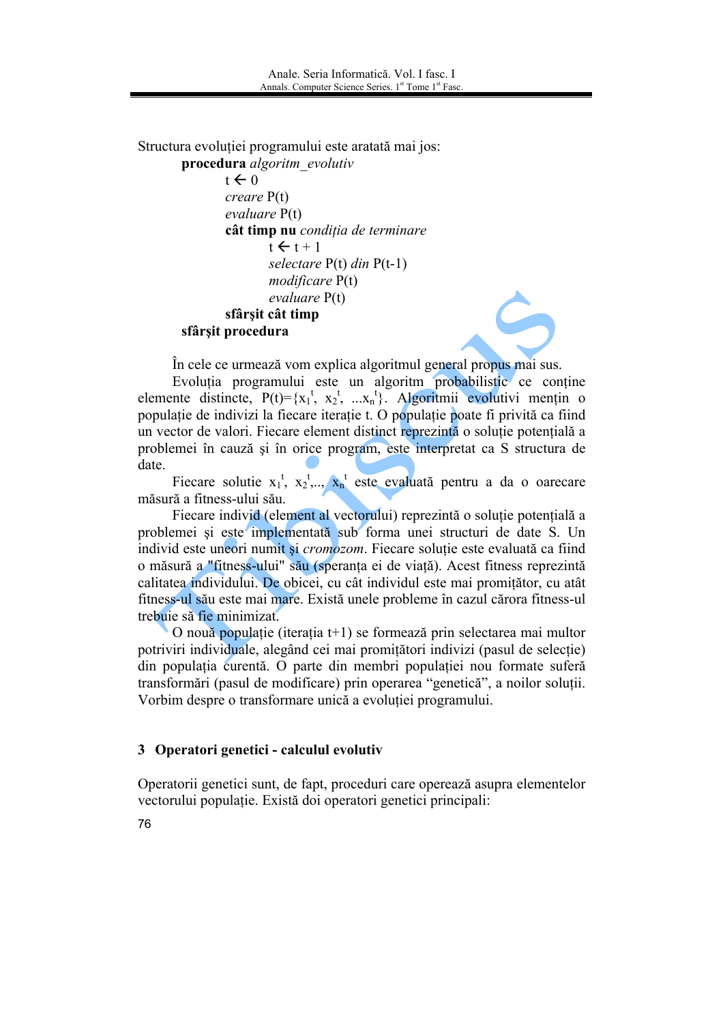Structura evoluției programului este aratată mai jos: procedura algoritm evolutiv  $t \leftarrow 0$  $create P(t)$  $evaluate P(t)$ cât timp nu condiția de terminare  $t \leftarrow t + 1$ selectare  $P(t)$  din  $P(t-1)$  $modificance P(t)$  $evaluate P(t)$ sfârsit cât timp sfârșit procedura

În cele ce urmează vom explica algoritmul general propus mai sus.

Evoluția programului este un algoritm probabilistic ce conține elemente distincte,  $P(t) = \{x_1^t, x_2^t, ...x_n^t\}$ . Algoritmii evolutivi mențin o populație de indivizi la fiecare iterație t. O populație poate fi privită ca fiind un vector de valori. Fiecare element distinct reprezintă o soluție potențială a problemei în cauză și în orice program, este interpretat ca S structura de date.

Fiecare solutie  $x_1^t$ ,  $x_2^t$ ,...,  $x_n^t$  este evaluată pentru a da o oarecare măsură a fitness-ului său.

Fiecare individ (element al vectorului) reprezintă o soluție potențială a problemei și este implementată sub forma unei structuri de date S. Un individ este uneori numit și *cromozom*. Fiecare soluție este evaluată ca fiind o măsură a "fitness-ului" său (speranta ei de viată). Acest fitness reprezintă calitatea individului. De obicei, cu cât individul este mai promitător, cu atât fitness-ul său este mai mare. Există unele probleme în cazul cărora fitness-ul trebuie să fie minimizat.

O nouă populație (iterația  $t+1$ ) se formează prin selectarea mai multor potriviri individuale, alegând cei mai promitători indivizi (pasul de selecție) din populația curentă. O parte din membri populației nou formate suferă transformări (pasul de modificare) prin operarea "genetică", a noilor soluții. Vorbim despre o transformare unică a evolutiei programului.

# 3 Operatori genetici - calculul evolutiv

Operatorii genetici sunt, de fapt, proceduri care operează asupra elementelor vectorului populatie. Există doi operatori genetici principali: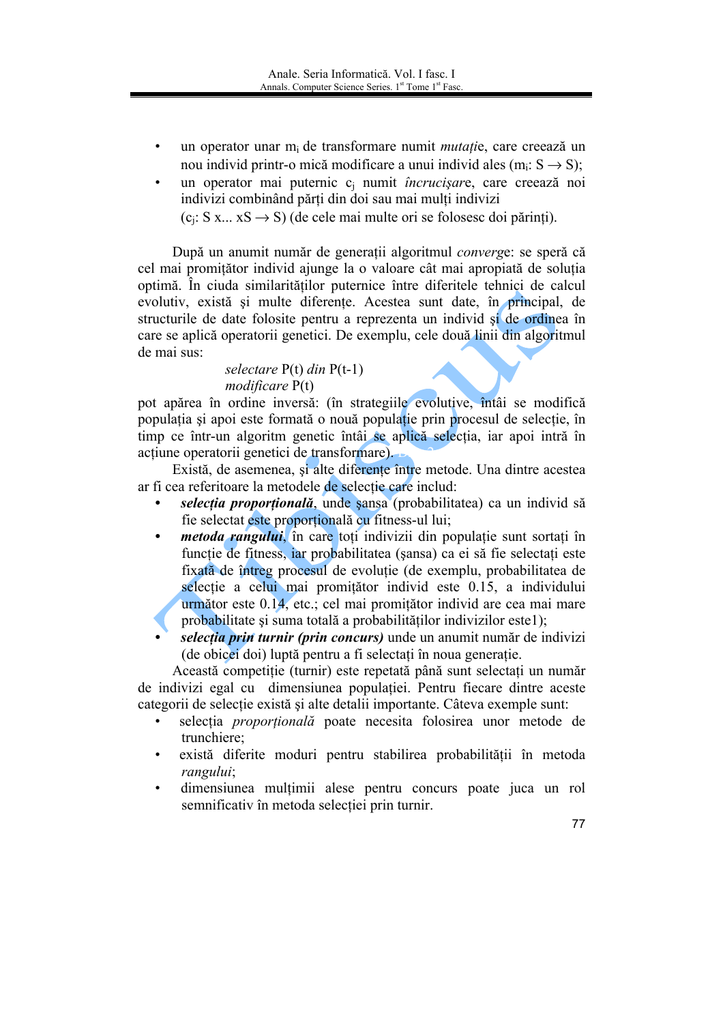- un operator unar m<sub>i</sub> de transformare numit *mutație*, care creează un nou individ printr-o mică modificare a unui individ ales (m<sub>i</sub>:  $S \rightarrow S$ );
- un operator mai puternic c<sub>i</sub> numit *încrucisare*, care creează noi indivizi combinând părti din doi sau mai multi indivizi

 $(c_i: S x... xS \rightarrow S)$  (de cele mai multe ori se folosesc doi părinți).

După un anumit număr de generații algoritmul *converge*: se speră că cel mai promitător individ ajunge la o valoare cât mai apropiată de solutia optimă. În ciuda similarităților puternice între diferitele tehnici de calcul evolutiv, există și multe diferente. Acestea sunt date, în principal, de structurile de date folosite pentru a reprezenta un individ și de ordinea în care se aplică operatorii genetici. De exemplu, cele două linii din algoritmul de mai sus:

### selectare  $P(t)$  din  $P(t-1)$  $modificance P(t)$

pot apărea în ordine inversă: (în strategiile evolutive, întâi se modifică populația și apoi este formată o nouă populație prin procesul de selecție, în timp ce într-un algoritm genetic întâi se aplică selectia, iar apoi intră în actiune operatorii genetici de transformare).

Există, de asemenea, și alte diferențe între metode. Una dintre acestea ar fi cea referitoare la metodele de selectie care includ:

- selectia proportională, unde sansa (probabilitatea) ca un individ să fie selectat este proportională cu fitness-ul lui;
- *metoda rangului*, în care toți indivizii din populație sunt sortați în functie de fitness, iar probabilitatea (sansa) ca ei să fie selectati este fixată de întreg procesul de evoluție (de exemplu, probabilitatea de selecție a celui mai promițător individ este 0.15, a individului următor este 0.14, etc.; cel mai promițător individ are cea mai mare probabilitate și suma totală a probabilităților indivizilor estel):
- selectia prin turnir (prin concurs) unde un anumit număr de indivizi (de obicei doi) luptă pentru a fi selectați în noua generație.

Această competiție (turnir) este repetată până sunt selectați un număr de indivizi egal cu dimensiunea populatiei. Pentru fiecare dintre aceste categorii de selecție există și alte detalii importante. Câteva exemple sunt:

- selecția *proporțională* poate necesita folosirea unor metode de trunchiere;
- există diferite moduri pentru stabilirea probabilității în metoda rangului:
- dimensiunea multimii alese pentru concurs poate juca un rol semnificativ în metoda selectiei prin turnir.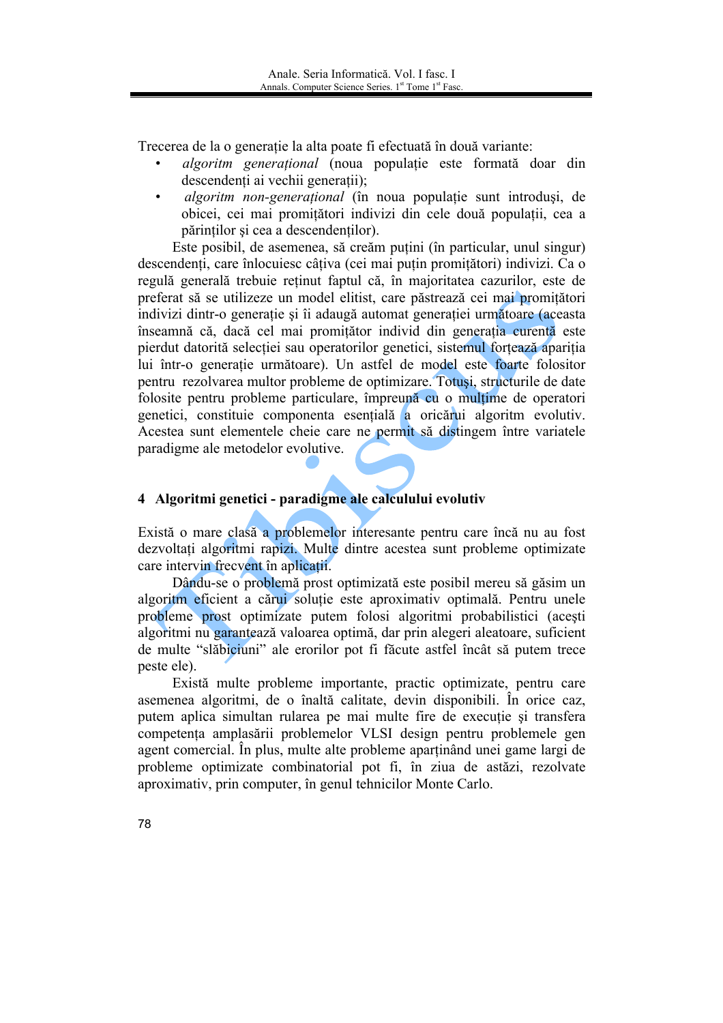Trecerea de la o generație la alta poate fi efectuată în două variante:

- algoritm generațional (noua populație este formată doar din descendenti ai vechii generatii);
- *algoritm non-generational* (în noua populatie sunt introdusi, de obicei, cei mai promitători indivizi din cele două populații, cea a părinților și cea a descendenților).

Este posibil, de asemenea, să creăm puțini (în particular, unul singur) descendenti, care înlocuiesc câtiva (cei mai putin promitători) indivizi. Ca o regulă generală trebuie retinut faptul că, în majoritatea cazurilor, este de preferat să se utilizeze un model elitist, care păstrează cei mai promițători indivizi dintr-o generație și îi adaugă automat generației următoare (aceasta înseamnă că, dacă cel mai promitător individ din generația curentă este pierdut datorită selecției sau operatorilor genetici, sistemul fortează apariția lui într-o generație următoare). Un astfel de model este foarte folositor pentru rezolvarea multor probleme de optimizare. Totusi, structurile de date folosite pentru probleme particulare, împreună cu o multime de operatori genetici, constituie componenta esentială a oricărui algoritm evolutiv. Acestea sunt elementele cheie care ne permit să distingem între variatele paradigme ale metodelor evolutive.

## 4 Algoritmi genetici - paradigme ale calculului evolutiv

Există o mare clasă a problemelor interesante pentru care încă nu au fost dezvoltati algoritmi rapizi. Multe dintre acestea sunt probleme optimizate care intervin frecvent în aplicatii.

Dându-se o problemă prost optimizată este posibil mereu să găsim un algoritm eficient a cărui solutie este aproximativ optimală. Pentru unele probleme prost optimizate putem folosi algoritmi probabilistici (acesti algoritmi nu garantează valoarea optimă, dar prin alegeri aleatoare, suficient de multe "slăbiciuni" ale erorilor pot fi făcute astfel încât să putem trece peste ele).

Există multe probleme importante, practic optimizate, pentru care asemenea algoritmi, de o înaltă calitate, devin disponibili. În orice caz, putem aplica simultan rularea pe mai multe fire de execuție și transfera competenta amplasării problemelor VLSI design pentru problemele gen agent comercial. În plus, multe alte probleme apartinând unei game largi de probleme optimizate combinatorial pot fi, în ziua de astăzi, rezolvate aproximativ, prin computer, în genul tehnicilor Monte Carlo.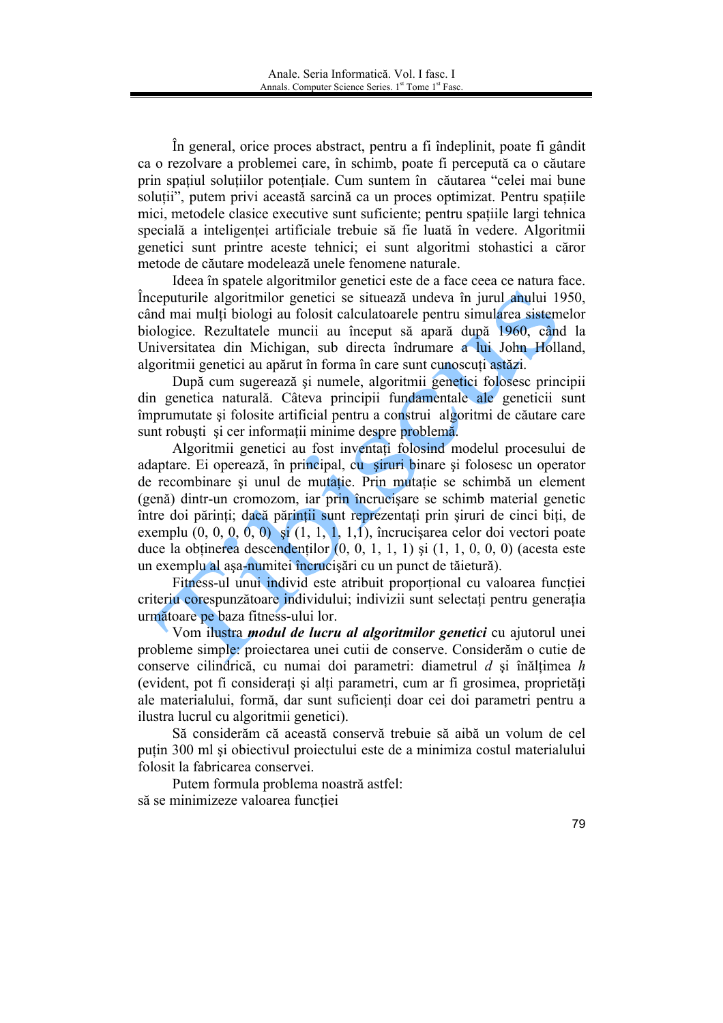În general, orice proces abstract, pentru a fi îndeplinit, poate fi gândit ca o rezolvare a problemei care, în schimb, poate fi percepută ca o căutare prin spatiul solutiilor potentiale. Cum suntem în căutarea "celei mai bune solutii", putem privi această sarcină ca un proces optimizat. Pentru spațiile mici, metodele clasice executive sunt suficiente; pentru spatiile largi tehnica specială a inteligenței artificiale trebuie să fie luată în vedere. Algoritmii genetici sunt printre aceste tehnici; ei sunt algoritmi stohastici a căror metode de căutare modelează unele fenomene naturale.

Ideea în spatele algoritmilor genetici este de a face ceea ce natura face. Începuturile algoritmilor genetici se situează undeva în jurul anului 1950, când mai mulți biologi au folosit calculatoarele pentru simularea sistemelor biologice. Rezultatele muncii au început să apară după 1960, când la Universitatea din Michigan, sub directa îndrumare a lui John Holland, algoritmii genetici au apărut în forma în care sunt cunoscuti astăzi.

După cum sugerează și numele, algoritmii genetici folosesc principii din genetica naturală. Câteva principii fundamentale ale geneticii sunt împrumutate și folosite artificial pentru a construi algoritmi de căutare care sunt robuști și cer informații minime despre problemă.

Algoritmii genetici au fost inventati folosind modelul procesului de adaptare. Ei operează, în principal, cu șiruri binare și folosesc un operator de recombinare și unul de mutatie. Prin mutație se schimbă un element (genă) dintr-un cromozom, iar prin încrucisare se schimb material genetic între doi părinți; dacă părinții sunt reprezentați prin șiruri de cinci biți, de exemplu  $(0, 0, 0, 0, 0)$  și  $(1, 1, 1, 1, 1)$ , încrucișarea celor doi vectori poate duce la obtinerea descendentilor  $(0, 0, 1, 1, 1)$  și  $(1, 1, 0, 0, 0)$  (acesta este un exemplu al asa-numitei încrucisări cu un punct de tăietură).

Fitness-ul unui individ este atribuit proportional cu valoarea functiei criteriu corespunzătoare individului; indivizii sunt selectați pentru generația următoare pe baza fitness-ului lor.

Vom ilustra *modul de lucru al algoritmilor genetici* cu ajutorul unei probleme simple: projectarea unei cutii de conserve. Considerăm o cutie de conserve cilindrică, cu numai doi parametri: diametrul d și înălțimea h (evident, pot fi considerați și alți parametri, cum ar fi grosimea, proprietăți ale materialului, formă, dar sunt suficienți doar cei doi parametri pentru a ilustra lucrul cu algoritmii genetici).

Să considerăm că această conservă trebuie să aibă un volum de cel puțin 300 ml și obiectivul proiectului este de a minimiza costul materialului folosit la fabricarea conservei.

Putem formula problema noastră astfel: să se minimizeze valoarea functiei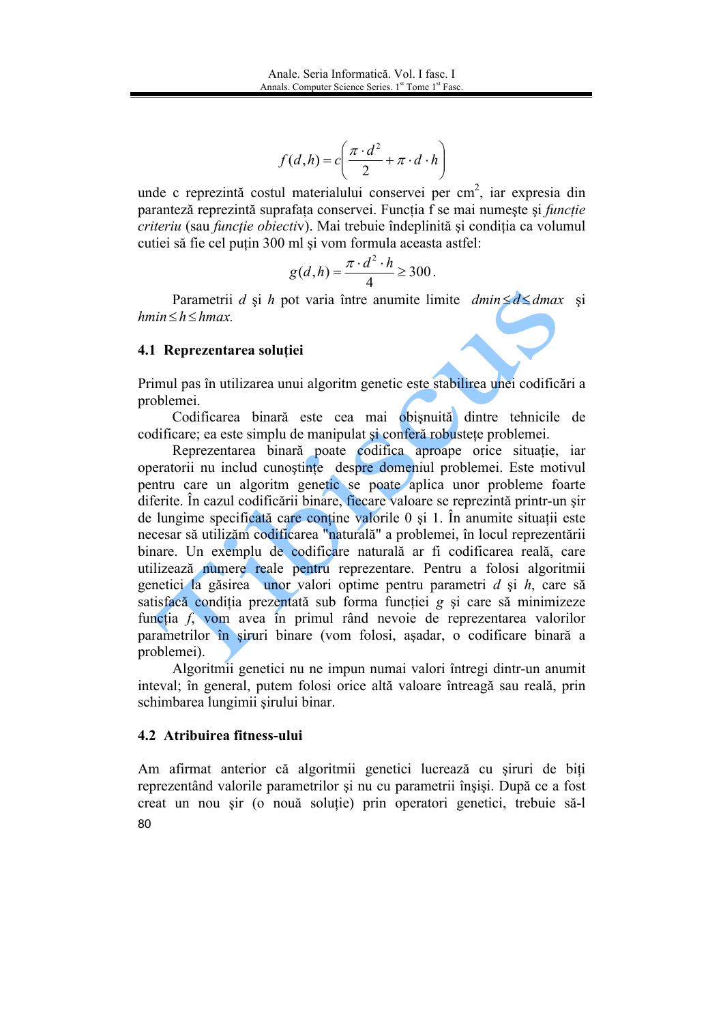$$
f(d,h) = c\left(\frac{\pi \cdot d^2}{2} + \pi \cdot d \cdot h\right)
$$

unde c reprezintă costul materialului conservei per cm<sup>2</sup>, iar expresia din paranteză reprezintă suprafata conservei. Functia f se mai numeste si functie criteriu (sau funcție obiectiv). Mai trebuie îndeplinită și condiția ca volumul cutiei să fie cel puțin 300 ml și vom formula aceasta astfel:

$$
g(d,h) = \frac{\pi \cdot d^2 \cdot h}{4} \ge 300
$$

Parametrii d si h pot varia între anumite limite  $dmin \leq d \leq dmax$  si  $hmin \leq h \leq hmax$ .

### 4.1 Reprezentarea soluției

Primul pas în utilizarea unui algoritm genetic este stabilirea unei codificări a problemei.

Codificarea binară este cea mai obișnuită dintre tehnicile de codificare; ea este simplu de manipulat și conferă robustete problemei.

Reprezentarea binară poate codifica aproape orice situație, iar operatorii nu includ cunostințe despre domeniul problemei. Este motivul pentru care un algoritm genetic se poate aplica unor probleme foarte diferite. În cazul codificării binare, fiecare valoare se reprezintă printr-un sir de lungime specificată care contine valorile 0 și 1. În anumite situații este necesar să utilizăm codificarea "naturală" a problemei, în locul reprezentării binare. Un exemplu de codificare naturală ar fi codificarea reală, care utilizează numere reale pentru reprezentare. Pentru a folosi algoritmii genetici la găsirea unor valori optime pentru parametri d și h, care să satisfacă condiția prezentată sub forma funcției g și care să minimizeze functia f, vom avea în primul rând nevoie de reprezentarea valorilor parametrilor în siruri binare (vom folosi, asadar, o codificare binară a problemei).

Algoritmii genetici nu ne impun numai valori întregi dintr-un anumit inteval; în general, putem folosi orice altă valoare întreagă sau reală, prin schimbarea lungimii șirului binar.

#### 4.2 Atribuirea fitness-ului

Am afirmat anterior că algoritmii genetici lucrează cu șiruri de biți reprezentând valorile parametrilor și nu cu parametrii înșiși. După ce a fost creat un nou șir (o nouă soluție) prin operatori genetici, trebuie să-l  $80$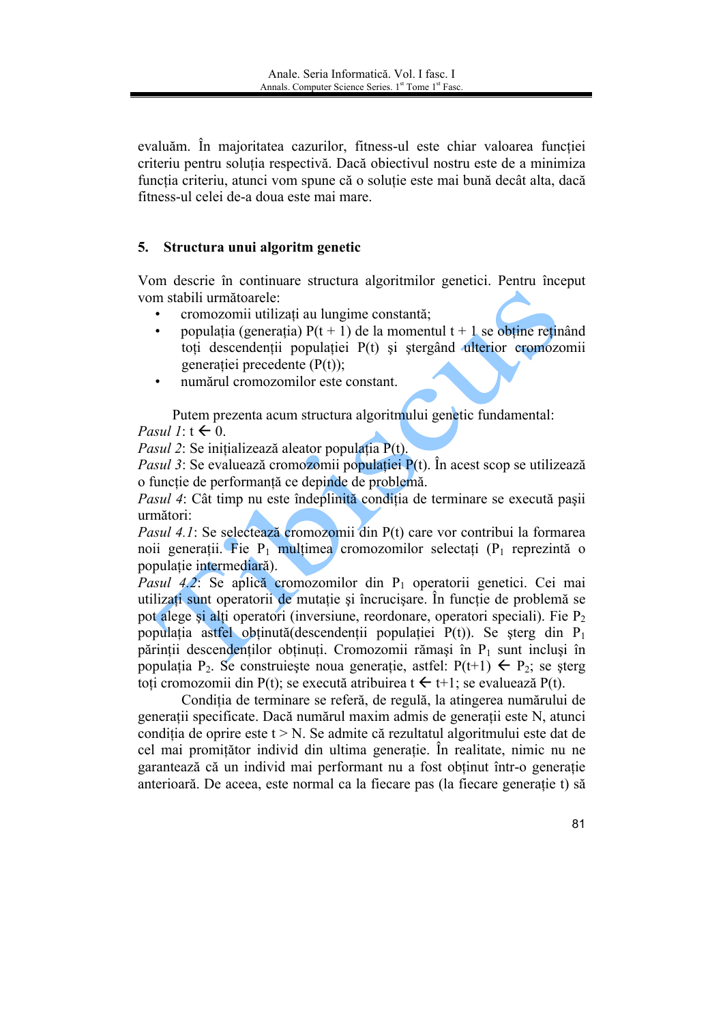evaluăm. În majoritatea cazurilor, fitness-ul este chiar valoarea funcției criteriu pentru solutia respectivă. Dacă obiectivul nostru este de a minimiza funcția criteriu, atunci vom spune că o soluție este mai bună decât alta, dacă fitness-ul celei de-a doua este mai mare.

#### 5. Structura unui algoritm genetic

Vom descrie în continuare structura algoritmilor genetici. Pentru început vom stabili următoarele:

- cromozomii utilizati au lungime constantă;
- populația (generația)  $P(t + 1)$  de la momentul  $t + 1$  se obține retinând toți descendenții populației P(t) și ștergând ulterior cromozomii generatiei precedente  $(P(t))$ ;
- numărul cromozomilor este constant.

Putem prezenta acum structura algoritmului genetic fundamental: Pasul 1:  $t \leftarrow 0$ .

*Pasul 2:* Se initializează aleator populația P(t).

*Pasul* 3: Se evaluează cromozomii populației P(t). În acest scop se utilizează o funcție de performanță ce depinde de problemă.

Pasul 4: Cât timp nu este îndeplinită condiția de terminare se execută pasii următori<sup>-</sup>

*Pasul 4.1*: Se selectează cromozomii din P(t) care vor contribui la formarea noii generatii. Fie  $P_1$  multimea cromozomilor selectati  $(P_1$  reprezintă o populatie intermediară).

Pasul 4.2: Se aplică cromozomilor din P<sub>1</sub> operatorii genetici. Cei mai utilizati sunt operatorii de mutatie si încrucisare. În functie de problemă se pot alege si alti operatori (inversiune, reordonare, operatori speciali). Fie P<sub>2</sub> populația astfel obținută (descendenții populației P(t)). Se sterg din P<sub>1</sub> părinții descendenților obținuți. Cromozomii rămași în P<sub>1</sub> sunt inclusi în populația P<sub>2</sub>. Se construiește noua generație, astfel: P(t+1)  $\leftarrow$  P<sub>2</sub>; se șterg toți cromozomii din P(t); se execută atribuirea t  $\leftarrow$  t+1; se evaluează P(t).

Conditia de terminare se referă, de regulă, la atingerea numărului de generatii specificate. Dacă numărul maxim admis de generatii este N, atunci conditia de oprire este  $t > N$ . Se admite că rezultatul algoritmului este dat de cel mai promițător individ din ultima generație. În realitate, nimic nu ne garantează că un individ mai performant nu a fost obținut într-o generație anterioară. De aceea, este normal ca la fiecare pas (la fiecare generatie t) să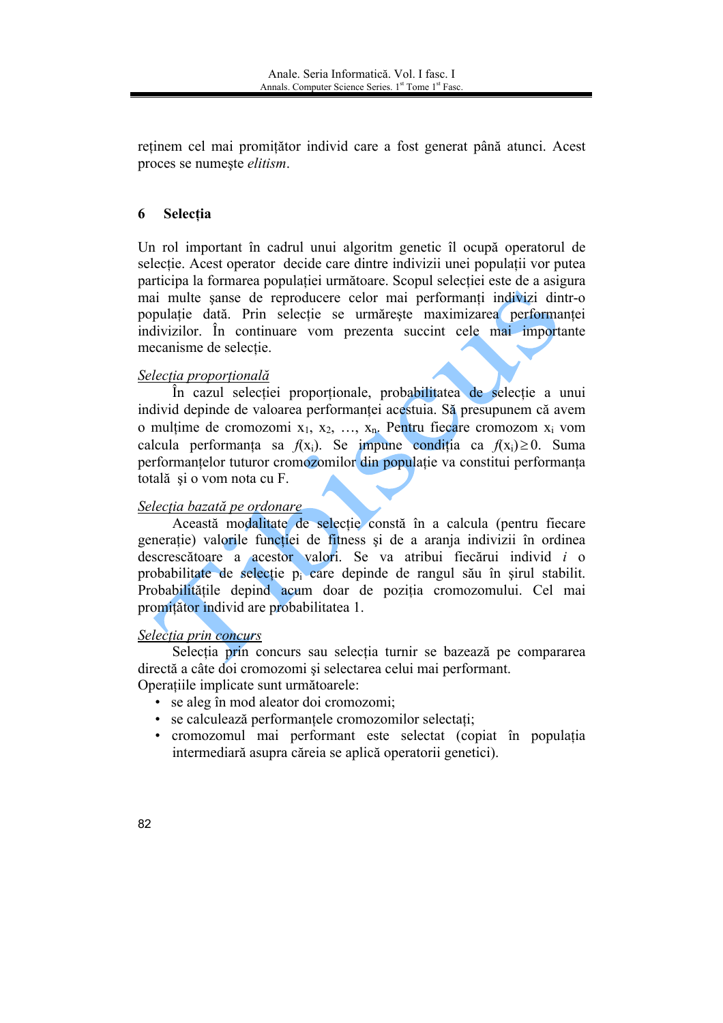retinem cel mai promitător individ care a fost generat până atunci. Acest proces se numeste *elitism*.

#### 6 **Selectia**

Un rol important în cadrul unui algoritm genetic îl ocupă operatorul de selectie. Acest operator decide care dintre indivizii unei populatii vor putea participa la formarea populației următoare. Scopul selecției este de a asigura mai multe sanse de reproducere celor mai performanți indivizi dintr-o populație dată. Prin selecție se urmărește maximizarea performanței indivizilor. In continuare vom prezenta succint cele mai importante mecanisme de selectie.

### Selecția proporțională

În cazul selecției proporționale, probabilitatea de selectie a unui individ depinde de valoarea performantei acestuia. Să presupunem că avem o multime de cromozomi  $x_1, x_2, ..., x_n$ . Pentru fiecare cromozom  $x_i$  vom calcula performanta sa  $f(x_i)$ . Se impune conditia ca  $f(x_i) \ge 0$ . Suma performantelor tuturor cromozomilor din populație va constitui performanța totală și o vom nota cu F.

#### Selecția bazată pe ordonare

Această modalitate de selecție constă în a calcula (pentru fiecare generatie) valorile functiei de fitness și de a aranja indivizii în ordinea descrescătoare a acestor valori. Se va atribui fiecărui individ i o probabilitate de selectie p<sub>i</sub> care depinde de rangul său în șirul stabilit. Probabilitățile depind acum doar de poziția cromozomului. Cel mai promitător individ are probabilitatea 1.

#### Selecția prin concurs

Selecția prin concurs sau selecția turnir se bazează pe compararea directă a câte doi cromozomi și selectarea celui mai performant. Operatiile implicate sunt următoarele:

- se aleg în mod aleator doi cromozomi;
- · se calculează performanțele cromozomilor selectați;
- cromozomul mai performant este selectat (copiat în populatia intermediară asupra căreia se aplică operatorii genetici).
- 82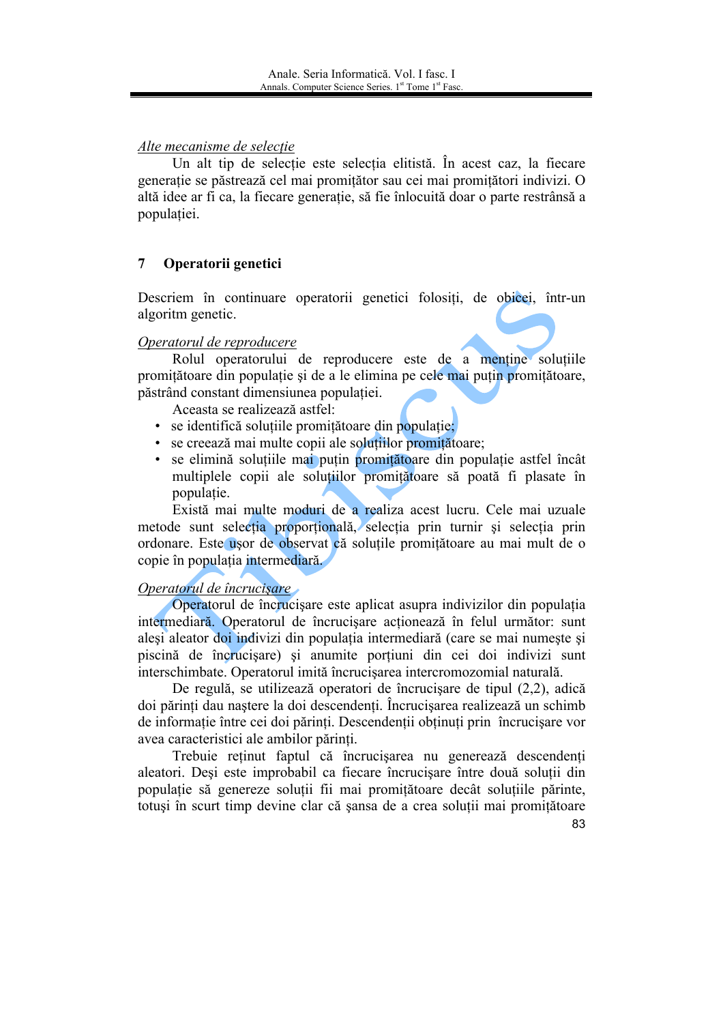#### Alte mecanisme de selecție

Un alt tip de selectie este selectia elitistă. În acest caz, la fiecare generatie se păstrează cel mai promitător sau cei mai promitători indivizi. O altă idee ar fi ca. la fiecare generatie, să fie înlocuită doar o parte restrânsă a populatiei.

#### $\overline{7}$ Operatorii genetici

Descriem în continuare operatorii genetici folosiți, de obicei, într-un algoritm genetic.

#### Operatorul de reproducere

Rolul operatorului de reproducere este de a mentine soluțiile promitătoare din populație și de a le elimina pe cele mai puțin promitătoare, păstrând constant dimensiunea populatiei.

Aceasta se realizează astfel·

- se identifică solutiile promitătoare din populatie:
- · se creează mai multe copii ale solutiilor promitătoare;
- se elimină soluțiile mai puțin promițătoare din populație astfel încât multiplele copii ale soluțiilor promițătoare să poată fi plasate în populatie.

Există mai multe moduri de a realiza acest lucru. Cele mai uzuale metode sunt selectia proportională. selectia prin turnir și selectia prin ordonare. Este usor de observat că soluțile promițătoare au mai mult de o copie în populația intermediară.

### Operatorul de încrucisare

Operatorul de încrucisare este aplicat asupra indivizilor din populația intermediară. Operatorul de încrucisare actionează în felul următor: sunt alesi aleator doi indivizi din populatia intermediară (care se mai numeste si piscină de încrucișare) și anumite porțiuni din cei doi indivizi sunt interschimbate. Operatorul imită încrucisarea intercromozomial naturală.

De regulă, se utilizează operatori de încrucisare de tipul (2,2), adică doi părinți dau naștere la doi descendenți. Încrucisarea realizează un schimb de informatie între cei doi părinti. Descendenții obtinuti prin încrucisare vor avea caracteristici ale ambilor părinți.

Trebuie retinut faptul că încrucisarea nu generează descendenti aleatori. Deși este improbabil ca fiecare încrucișare între două soluții din populație să genereze soluții fii mai promițătoare decât soluțiile părinte, totusi în scurt timp devine clar că sansa de a crea solutii mai promitătoare 83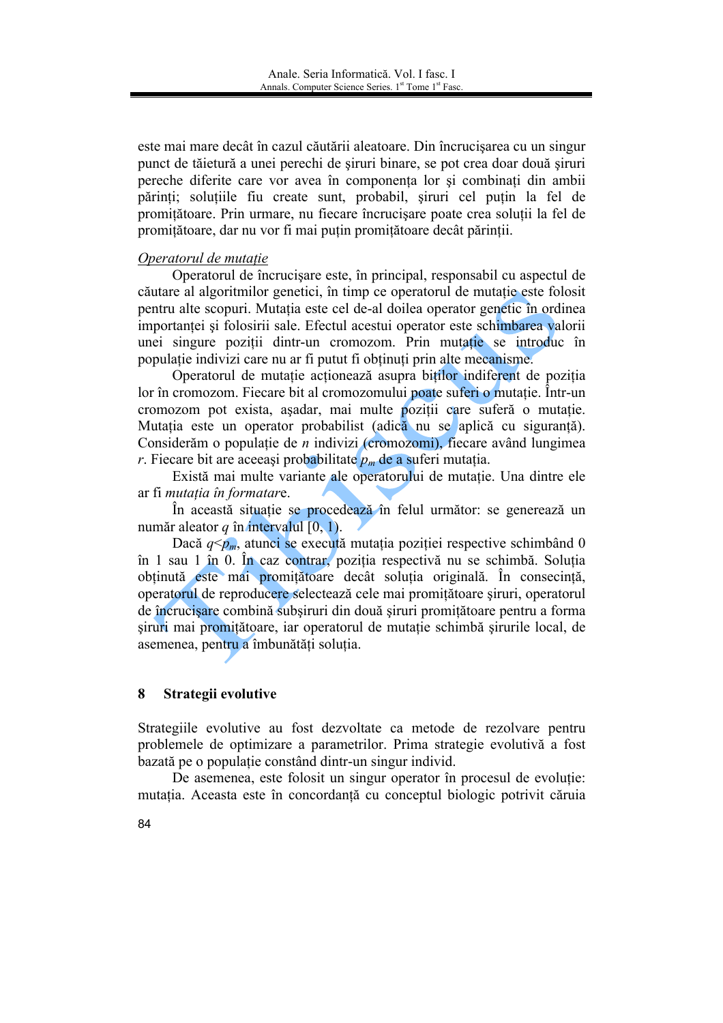este mai mare decât în cazul căutării aleatoare. Din încrucișarea cu un singur punct de tăietură a unei perechi de siruri binare, se pot crea doar două siruri pereche diferite care vor avea în componenta lor si combinati din ambii părinți; soluțiile fiu create sunt, probabil, șiruri cel puțin la fel de promitătoare. Prin urmare, nu fiecare încrucisare poate crea soluții la fel de promițătoare, dar nu vor fi mai puțin promițătoare decât părinții.

### Operatorul de mutație

Operatorul de încrucisare este, în principal, responsabil cu aspectul de căutare al algoritmilor genetici, în timp ce operatorul de mutatie este folosit pentru alte scopuri. Mutația este cel de-al doilea operator genetic în ordinea importantei și folosirii sale. Efectul acestui operator este schimbarea valorii unei singure pozitii dintr-un cromozom. Prin mutatie se introduc în populație indivizi care nu ar fi putut fi obținuți prin alte mecanisme.

Operatorul de mutație acționează asupra biților indiferent de poziția lor în cromozom. Fiecare bit al cromozomului poate suferi o mutatie. Într-un cromozom pot exista, așadar, mai multe poziții care suferă o mutație. Mutatia este un operator probabilist (adică nu se aplică cu sigurantă). Considerăm o populație de  $n$  indivizi (cromozomi), fiecare având lungimea r. Fiecare bit are aceeași probabilitate  $p_m$  de a suferi mutația.

Există mai multe variante ale operatorului de mutație. Una dintre ele ar fi mutatia în formatare.

În această situație se procedează în felul următor: se generează un număr aleator  $\alpha$  în intervalul  $[0, 1)$ .

Dacă  $q< p_m$ , atunci se execută mutația poziției respective schimbând 0 în 1 sau 1 în 0. În caz contrar, poziția respectivă nu se schimbă. Soluția obținută este mai promițătoare decât soluția originală. În consecință, operatorul de reproducere selectează cele mai promitătoare siruri, operatorul de încrucisare combină subsiruri din două siruri promitătoare pentru a forma siruri mai promitătoare, iar operatorul de mutație schimbă sirurile local, de asemenea, pentru a îmbunătăți soluția.

#### 8 Strategii evolutive

Strategiile evolutive au fost dezvoltate ca metode de rezolvare pentru problemele de optimizare a parametrilor. Prima strategie evolutivă a fost bazată pe o populație constând dintr-un singur individ.

De asemenea, este folosit un singur operator în procesul de evolutie: mutatia. Aceasta este în concordantă cu conceptul biologic potrivit căruia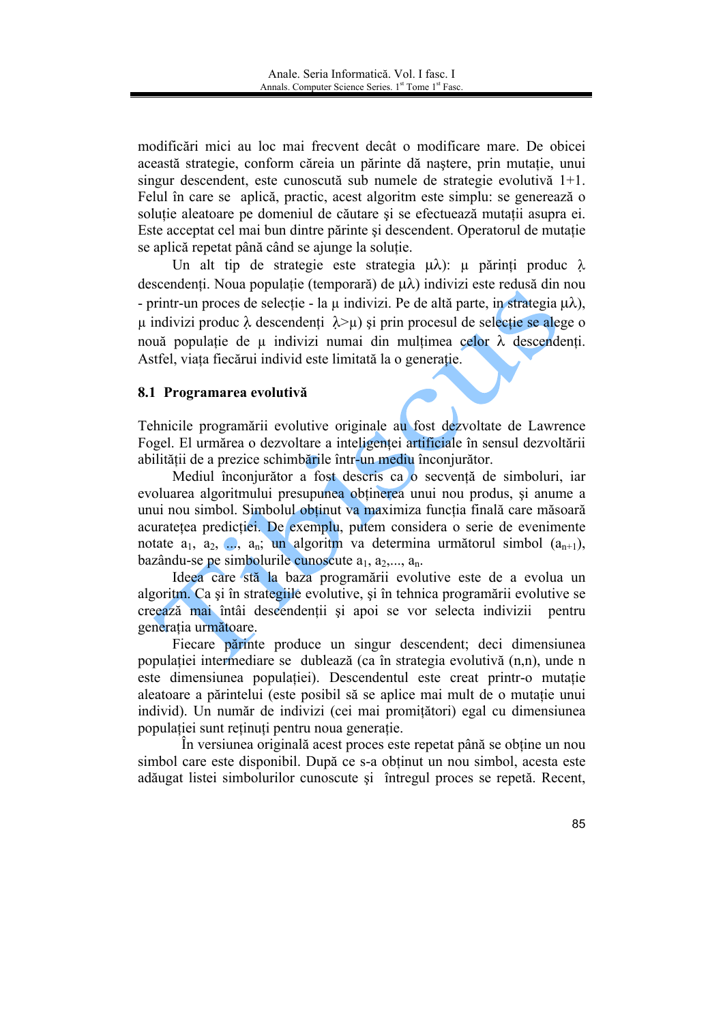modificări mici au loc mai frecvent decât o modificare mare. De obicei această strategie, conform căreia un părinte dă naștere, prin mutație, unui singur descendent, este cunoscută sub numele de strategie evolutivă 1+1. Felul în care se aplică, practic, acest algoritm este simplu: se generează o solutie aleatoare pe domeniul de căutare și se efectuează mutații asupra ei. Este acceptat cel mai bun dintre părinte și descendent. Operatorul de mutație se aplică repetat până când se ajunge la soluție.

Un alt tip de strategie este strategia  $\mu\lambda$ ):  $\mu$  părinți produc  $\lambda$ descendenți. Noua populație (temporară) de  $\mu\lambda$ ) indivizi este redusă din nou - printr-un proces de selectie - la  $\mu$  indivizi. Pe de altă parte, in strategia  $\mu\lambda$ ),  $\mu$  indivizi produc  $\lambda$  descendenti  $\lambda > \mu$ ) și prin procesul de selectie se alege o nouă populație de  $\mu$  indivizi numai din multimea celor  $\lambda$  descendenti. Astfel, viata fiecărui individ este limitată la o generatie.

#### 8.1 Programarea evolutivă

Tehnicile programării evolutive originale au fost dezvoltate de Lawrence Fogel. El urmărea o dezvoltare a inteligentei artificiale în sensul dezvoltării abilității de a prezice schimbările într-un mediu înconjurător.

Mediul înconjurător a fost descris ca o secvență de simboluri, iar evoluarea algoritmului presupunea obtinerea unui nou produs, si anume a unui nou simbol. Simbolul obținut va maximiza funcția finală care măsoară acuratetea predictiei. De exemplu, putem considera o serie de evenimente notate  $a_1, a_2, \ldots, a_n$ ; un algoritm va determina următorul simbol  $(a_{n+1}),$ bazându-se pe simbolurile cunoscute  $a_1, a_2, \ldots, a_n$ .

Ideea care stă la baza programării evolutive este de a evolua un algoritm. Ca si în strategiile evolutive, și în tehnica programării evolutive se creează mai întâi descendenții și apoi se vor selecta indivizii pentru generatia următoare.

Fiecare părinte produce un singur descendent; deci dimensiunea populației intermediare se dublează (ca în strategia evolutivă (n,n), unde n este dimensiunea populatiei). Descendentul este creat printr-o mutatie aleatoare a părintelui (este posibil să se aplice mai mult de o mutație unui individ). Un număr de indivizi (cei mai promitători) egal cu dimensiunea populației sunt reținuți pentru noua generație.

În versiunea originală acest proces este repetat până se obține un nou simbol care este disponibil. După ce s-a obținut un nou simbol, acesta este adăugat listei simbolurilor cunoscute și întregul proces se repetă. Recent,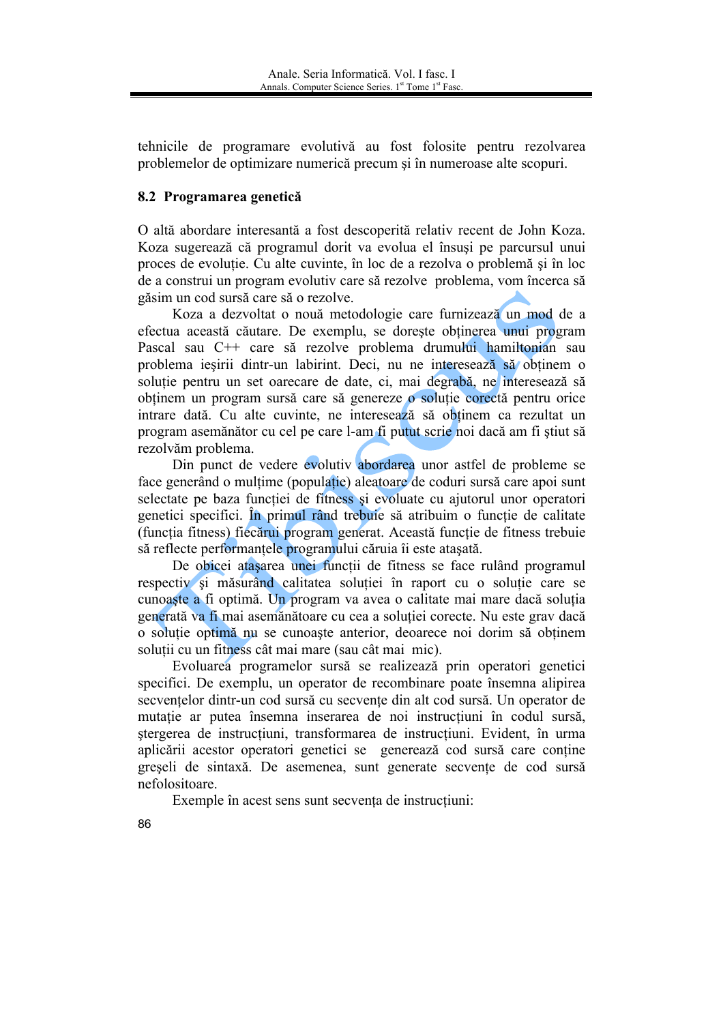tehnicile de programare evolutivă au fost folosite pentru rezolvarea problemelor de optimizare numerică precum și în numeroase alte scopuri.

### 8.2 Programarea genetică

O altă abordare interesantă a fost descoperită relativ recent de John Koza. Koza sugerează că programul dorit va evolua el însuși pe parcursul unui proces de evolutie. Cu alte cuvinte, în loc de a rezolva o problemă și în loc de a construi un program evolutiv care să rezolve problema, vom încerca să găsim un cod sursă care să o rezolve.

Koza a dezvoltat o nouă metodologie care furnizează un mod de a efectua această căutare. De exemplu, se dorește obtinerea unui program Pascal sau C++ care să rezolve problema drumului hamiltonian sau problema iesirii dintr-un labirint. Deci, nu ne interesează să obținem o solutie pentru un set oarecare de date, ci, mai degrabă, ne interesează să obtinem un program sursă care să genereze o solutie corectă pentru orice intrare dată. Cu alte cuvinte, ne interesează să obtinem ca rezultat un program asemănător cu cel pe care l-am fi putut scrie noi dacă am fi știut să rezolvăm problema.

Din punct de vedere evolutiv abordarea unor astfel de probleme se face generând o mulțime (populație) aleatoare de coduri sursă care apoi sunt selectate pe baza functiei de fitness și evoluate cu ajutorul unor operatori genetici specifici. În primul rând trebuie să atribuim o funcție de calitate (functia fitness) fiecărui program generat. Această functie de fitness trebuie să reflecte performanțele programului căruia îi este atașată.

De obicei atasarea unei functii de fitness se face rulând programul respectiv si măsurând calitatea solutiei în raport cu o solutie care se cunoaste a fi optimă. Un program va avea o calitate mai mare dacă solutia generată va fi mai asemănătoare cu cea a soluției corecte. Nu este grav dacă o solutie optimă nu se cunoaște anterior, deoarece noi dorim să obtinem solutii cu un fitness cât mai mare (sau cât mai mic).

Evoluarea programelor sursă se realizează prin operatori genetici specifici. De exemplu, un operator de recombinare poate însemna alipirea secventelor dintr-un cod sursă cu secvente din alt cod sursă. Un operator de mutatie ar putea însemna inserarea de noi instructiuni în codul sursă, stergerea de instructiuni, transformarea de instructiuni. Evident, în urma aplicării acestor operatori genetici se generează cod sursă care conține greseli de sintaxă. De asemenea, sunt generate secvente de cod sursă nefolositoare

Exemple în acest sens sunt secventa de instrucțiuni: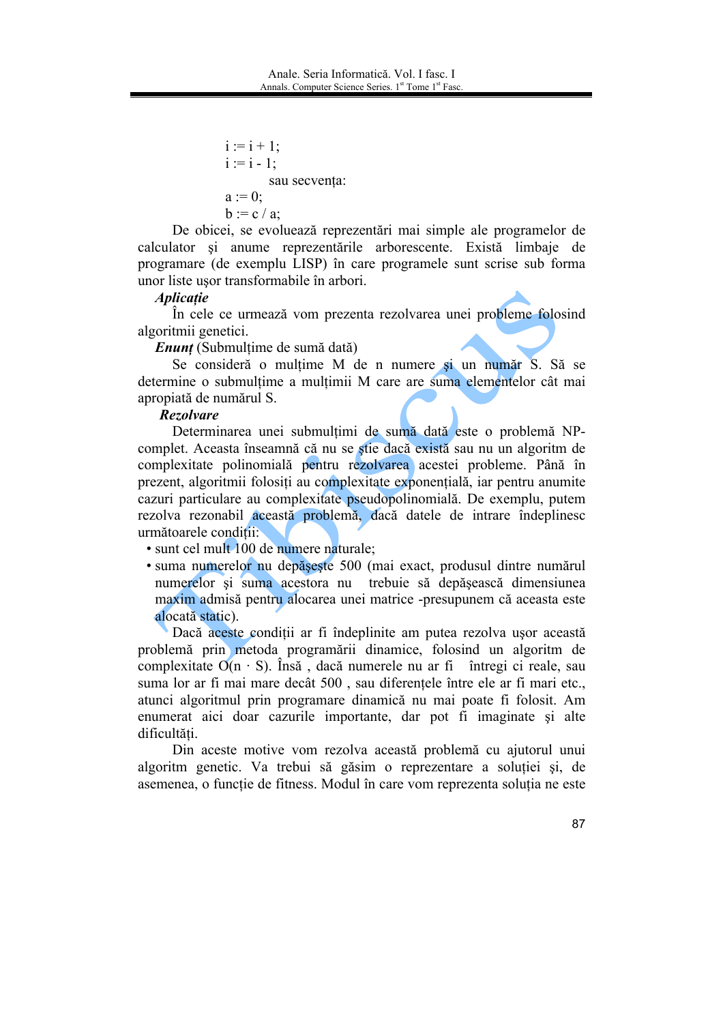$$
i := i + 1;
$$
  
\n
$$
i := i - 1;
$$
  
\nsau secventa:  
\n
$$
a := 0;
$$
  
\n
$$
b := c / a;
$$

De obicei, se evoluează reprezentări mai simple ale programelor de calculator și anume reprezentările arborescente. Există limbaje de programare (de exemplu LISP) în care programele sunt scrise sub forma unor liste usor transformabile în arbori.

### **Aplicatie**

În cele ce urmează vom prezenta rezolvarea unei probleme folosind algoritmii genetici.

*Enunt* (Submultime de sumă dată)

Se consideră o multime M de n numere și un număr S. Să se determine o submultime a multimii M care are suma elementelor cât mai apropiată de numărul S.

#### **Rezolvare**

Determinarea unei submulțimi de sumă dată este o problemă NPcomplet. Aceasta înseamnă că nu se stie dacă există sau nu un algoritm de complexitate polinomială pentru rezolvarea acestei probleme. Până în prezent, algoritmii folosiți au complexitate exponențială, iar pentru anumite cazuri particulare au complexitate pseudopolinomială. De exemplu, putem rezolva rezonabil această problemă, dacă datele de intrare îndeplinesc următoarele conditii:

• sunt cel mult 100 de numere naturale:

· suma numerelor nu depășește 500 (mai exact, produsul dintre numărul numerelor și suma acestora nu trebuie să depăsească dimensiunea maxim admisă pentru alocarea unei matrice -presupunem că aceasta este alocată static).

Dacă aceste condiții ar fi îndeplinite am putea rezolva usor această problemă prin metoda programării dinamice, folosind un algoritm de complexitate  $O(n \cdot S)$ . Însă, dacă numerele nu ar fi întregi ci reale, sau suma lor ar fi mai mare decât 500, sau diferențele între ele ar fi mari etc., atunci algoritmul prin programare dinamică nu mai poate fi folosit. Am enumerat aici doar cazurile importante, dar pot fi imaginate si alte dificultăti

Din aceste motive vom rezolva această problemă cu ajutorul unui algoritm genetic. Va trebui să găsim o reprezentare a solutiei si, de asemenea, o functie de fitness. Modul în care vom reprezenta solutia ne este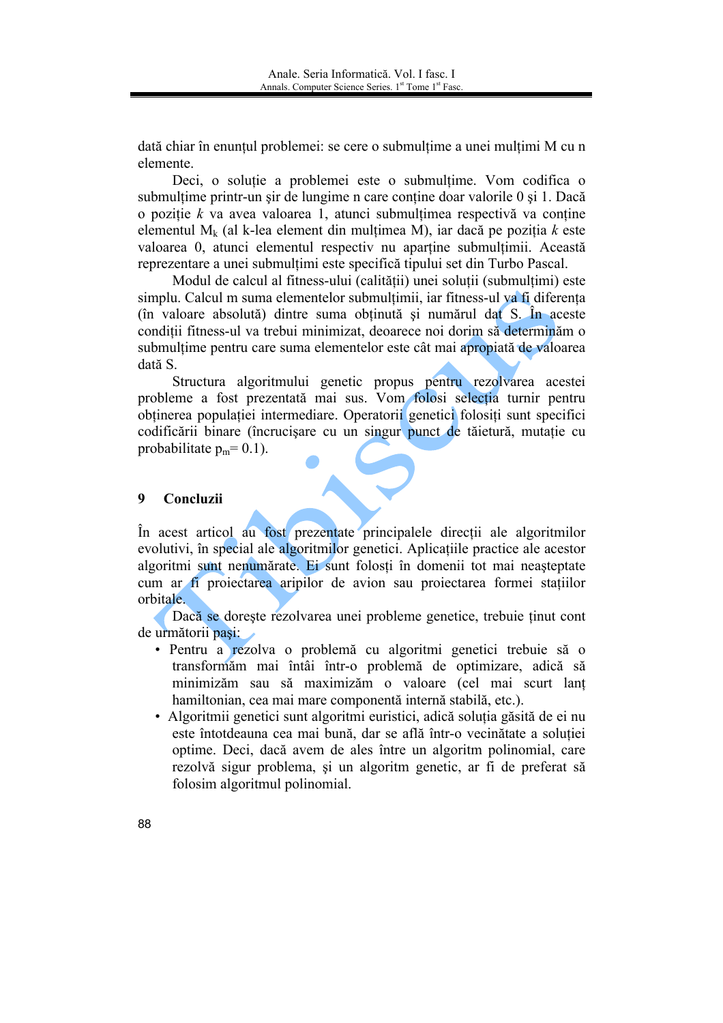dată chiar în enunțul problemei: se cere o submulțime a unei mulțimi M cu n elemente.

Deci, o solutie a problemei este o submultime. Vom codifica o submultime printr-un sir de lungime n care contine doar valorile 0 si 1. Dacă o poziție  $k$  va avea valoarea 1, atunci submultimea respectivă va conține elementul  $M_k$  (al k-lea element din multimea M), iar dacă pe poziția k este valoarea 0, atunci elementul respectiv nu apartine submultimii. Această reprezentare a unei submultimi este specifică tipului set din Turbo Pascal.

Modul de calcul al fitness-ului (calității) unei soluții (submulțimi) este simplu. Calcul m suma elementelor submulțimii, iar fitness-ul va fi diferența (în valoare absolută) dintre suma obtinută și numărul dat S. În aceste conditii fitness-ul va trebui minimizat, deoarece noi dorim să determinăm o submultime pentru care suma elementelor este cât mai apropiată de valoarea dată S

Structura algoritmului genetic propus pentru rezolvarea acestei probleme a fost prezentată mai sus. Vom folosi selectia turnir pentru obtinerea populației intermediare. Operatorii genetici folositi sunt specifici codificării binare (încrucisare cu un singur punct de tăietură, mutație cu probabilitate  $p_m = 0.1$ ).

#### $\boldsymbol{9}$ Concluzii

În acest articol au fost prezentate principalele direcții ale algoritmilor evolutivi, în special ale algoritmilor genetici. Aplicatiile practice ale acestor algoritmi sunt nenumărate. Ei sunt folosti în domenii tot mai neasteptate cum ar fi projectarea aripilor de avion sau projectarea formei statiilor orbitale.

Dacă se dorește rezolvarea unei probleme genetice, trebuie tinut cont de următorii pași:

- · Pentru a rezolva o problemă cu algoritmi genetici trebuie să o transformăm mai întâi într-o problemă de optimizare, adică să minimizăm sau să maximizăm o valoare (cel mai scurt lanț hamiltonian, cea mai mare componentă internă stabilă, etc.).
- · Algoritmii genetici sunt algoritmi euristici, adică solutia găsită de ei nu este întotdeauna cea mai bună, dar se află într-o vecinătate a solutiei optime. Deci, dacă avem de ales între un algoritm polinomial, care rezolvă sigur problema, și un algoritm genetic, ar fi de preferat să folosim algoritmul polinomial.